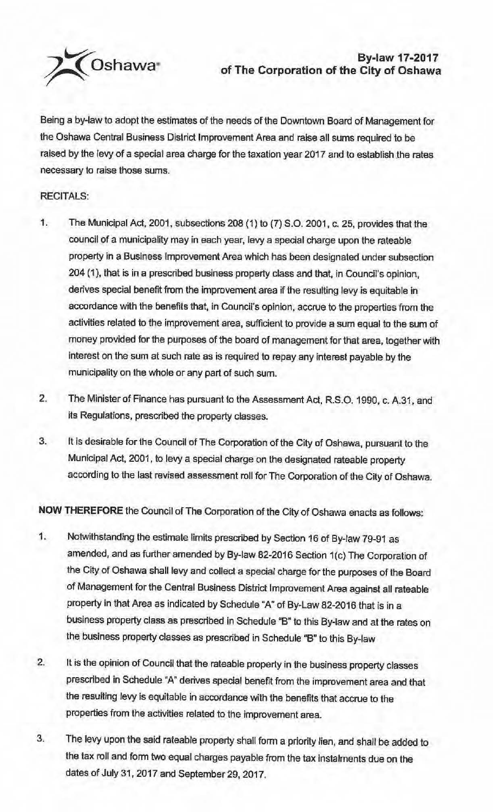

## ~Oshawa **By-law 17-2017 of The Corporation of the City of Oshawa**

Being a by-law to adopt the estimates of the needs of the Downtown Board of Management for the Oshawa Central Business District Improvement Area and raise all sums required to be raised by the levy of a special area charge for the taxation year 2017 and to establish the rates necessary to raise those sums.

## RECITALS:

- 1. The Municipal Act, 2001. subsections 208 {1) to (7) S.O. 2001, c. 25, provides that the council of a municipality may in each year, levy a special charge upon the rateable property in a Business Improvement Area which has been designated under subsection 204 (1), that is in a prescribed business property class and that, in Council's opinion, derives special benefit from the improvement area if the resulting levy is equitable in accordance with the benefits that, in Council's opinion, accrue to the properties from the activities related to the improvement area, sufficient to provide a sum equal to the sum of money provided for the purposes of the board of management for that area, together with Interest on the sum at such rate as is required to repay any interest payable by the municipality on the whole or any part of such sum.
- 2. The Minister of Finance has pursuant to the Assessment Act, R.S.O. 1990, c. A.31, and its Regulations, prescribed the property classes.
- 3. ft Is desirable for the Council of The Corporation of the City of Oshawa, pursuant to the Municipal Act, 2001, to levy a special charge on the designated rateable property according to the last revised assessment roll for The Corporation of the City of Oshawa.

**NOW THEREFORE** the Council of The Corporation of the City of Oshawa enacts as follows:

- 1. Notwithstanding the estimate limits prescribed by Section 16 of By-law 79-91 as amended, and as further amended by By-law 82-2016 Section 1(c) The Corporation of the City of Oshawa shall levy and collect a special charge for the purposes of the Board of Management for the Central Business District Improvement Area against all rateable property in that Area as indicated by Schedule "A" of By-Law 82-2016 that is in a business property class as prescribed in Schedule "B" to this By-law and at the rates on the business property classes as prescribed in Schedule "B" to this By-law
- 2. It is the opinion of Council that the rateable property in the business property classes prescribed in Schedule "A" derives special benefit from the improvement area and that the resulting levy is equitable in accordance with the benefits that accrue to the properties from the activities related to the improvement area.
- 3. The levy upon the said rateable property shall form a priority lien, and shall be added to the tax roll and form two equal charges payable from the tax instalments due on the dates of July 31, 2017 and September 29, 2017.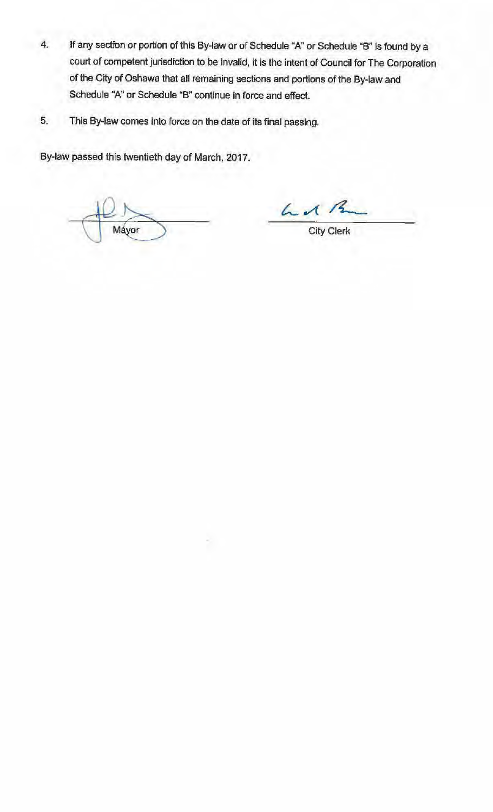- 4. Jf any section or portion of this By-law or of Schedule "A" or Schedule "B" is found by a court of competent jurisdiction to be Invalid, it is the intent of Council for The Corporation of the City of Oshawa that all remaining sections and portions of the By-law and Schedule "A" or Schedule "B" continue in force and effect.
- 5. This By-law comes into force on the date of its final passing.

By-law passed this twentieth day of March, 2017.

Máyor

L 12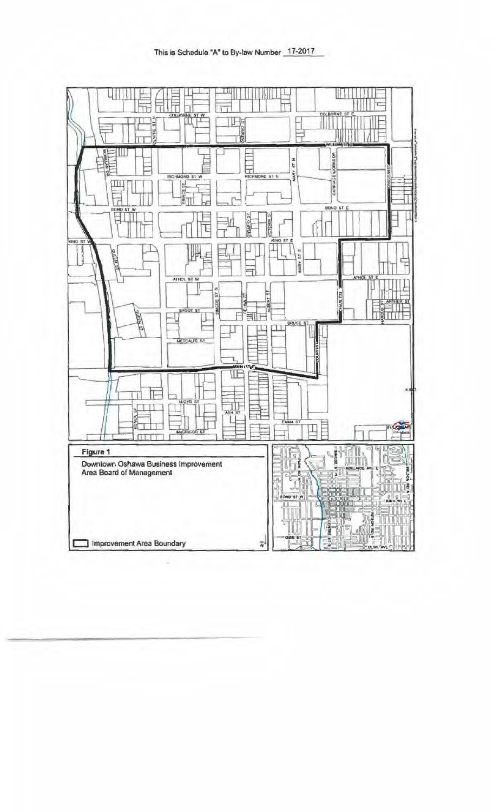